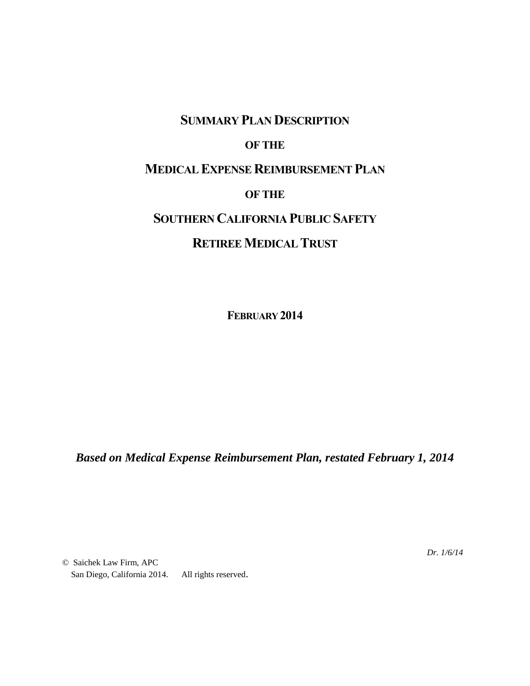## **SUMMARY PLAN DESCRIPTION**

## **OF THE**

## **MEDICAL EXPENSE REIMBURSEMENT PLAN**

#### **OF THE**

# **SOUTHERN CALIFORNIA PUBLIC SAFETY**

## **RETIREE MEDICAL TRUST**

**FEBRUARY 2014**

*Based on Medical Expense Reimbursement Plan, restated February 1, 2014*

© Saichek Law Firm, APC San Diego, California 2014. All rights reserved. *Dr. 1/6/14*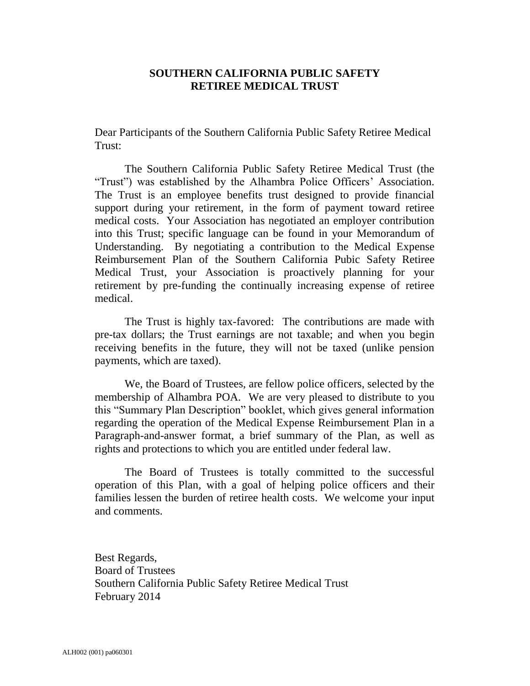#### **SOUTHERN CALIFORNIA PUBLIC SAFETY RETIREE MEDICAL TRUST**

Dear Participants of the Southern California Public Safety Retiree Medical Trust:

The Southern California Public Safety Retiree Medical Trust (the "Trust") was established by the Alhambra Police Officers' Association. The Trust is an employee benefits trust designed to provide financial support during your retirement, in the form of payment toward retiree medical costs. Your Association has negotiated an employer contribution into this Trust; specific language can be found in your Memorandum of Understanding. By negotiating a contribution to the Medical Expense Reimbursement Plan of the Southern California Pubic Safety Retiree Medical Trust, your Association is proactively planning for your retirement by pre-funding the continually increasing expense of retiree medical.

The Trust is highly tax-favored: The contributions are made with pre-tax dollars; the Trust earnings are not taxable; and when you begin receiving benefits in the future, they will not be taxed (unlike pension payments, which are taxed).

We, the Board of Trustees, are fellow police officers, selected by the membership of Alhambra POA. We are very pleased to distribute to you this "Summary Plan Description" booklet, which gives general information regarding the operation of the Medical Expense Reimbursement Plan in a Paragraph-and-answer format, a brief summary of the Plan, as well as rights and protections to which you are entitled under federal law.

The Board of Trustees is totally committed to the successful operation of this Plan, with a goal of helping police officers and their families lessen the burden of retiree health costs. We welcome your input and comments.

Best Regards, Board of Trustees Southern California Public Safety Retiree Medical Trust February 2014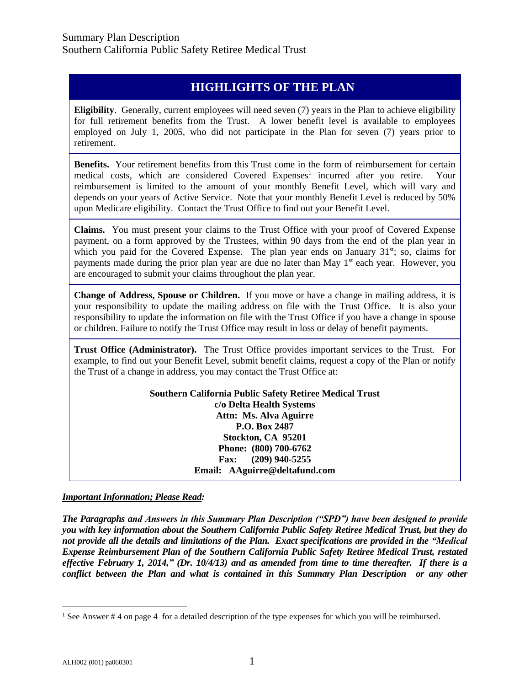## **HIGHLIGHTS OF THE PLAN**

**Eligibility**. Generally, current employees will need seven (7) years in the Plan to achieve eligibility for full retirement benefits from the Trust. A lower benefit level is available to employees employed on July 1, 2005, who did not participate in the Plan for seven (7) years prior to retirement.

**Benefits.** Your retirement benefits from this Trust come in the form of reimbursement for certain medical costs, which are considered Covered Expenses<sup>1</sup> incurred after you retire. Your reimbursement is limited to the amount of your monthly Benefit Level, which will vary and depends on your years of Active Service. Note that your monthly Benefit Level is reduced by 50% upon Medicare eligibility. Contact the Trust Office to find out your Benefit Level.

**Claims.** You must present your claims to the Trust Office with your proof of Covered Expense payment, on a form approved by the Trustees, within 90 days from the end of the plan year in which you paid for the Covered Expense. The plan year ends on January 31<sup>st</sup>; so, claims for payments made during the prior plan year are due no later than May  $1<sup>st</sup>$  each year. However, you are encouraged to submit your claims throughout the plan year.

**Change of Address, Spouse or Children.** If you move or have a change in mailing address, it is your responsibility to update the mailing address on file with the Trust Office. It is also your responsibility to update the information on file with the Trust Office if you have a change in spouse or children. Failure to notify the Trust Office may result in loss or delay of benefit payments.

**Trust Office (Administrator).** The Trust Office provides important services to the Trust. For example, to find out your Benefit Level, submit benefit claims, request a copy of the Plan or notify the Trust of a change in address, you may contact the Trust Office at:

> **Southern California Public Safety Retiree Medical Trust c/o Delta Health Systems Attn: Ms. Alva Aguirre P.O. Box 2487 Stockton, CA 95201 Phone: (800) 700-6762 Fax: (209) 940-5255 Email: AAguirre@deltafund.com**

*Important Information; Please Read:*

*The Paragraphs and Answers in this Summary Plan Description ("SPD") have been designed to provide you with key information about the Southern California Public Safety Retiree Medical Trust, but they do not provide all the details and limitations of the Plan. Exact specifications are provided in the "Medical Expense Reimbursement Plan of the Southern California Public Safety Retiree Medical Trust, restated effective February 1, 2014," (Dr. 10/4/13) and as amended from time to time thereafter. If there is a conflict between the Plan and what is contained in this Summary Plan Description or any other*

<sup>&</sup>lt;sup>1</sup> See Answer # 4 on page 4 for a detailed description of the type expenses for which you will be reimbursed.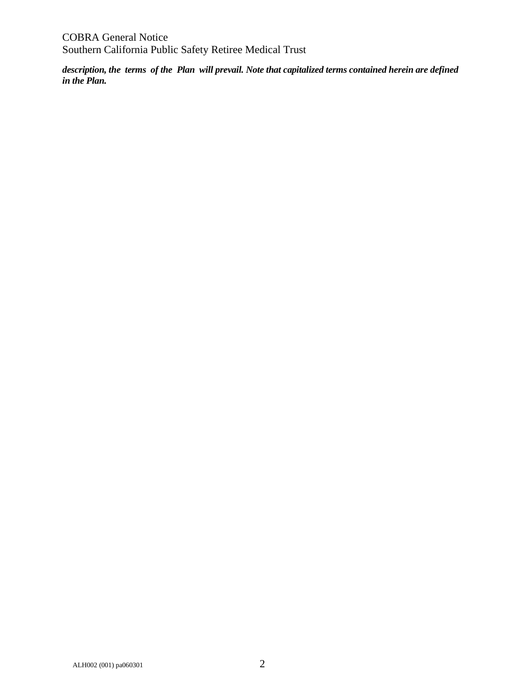*description, the terms of the Plan will prevail. Note that capitalized terms contained herein are defined in the Plan.*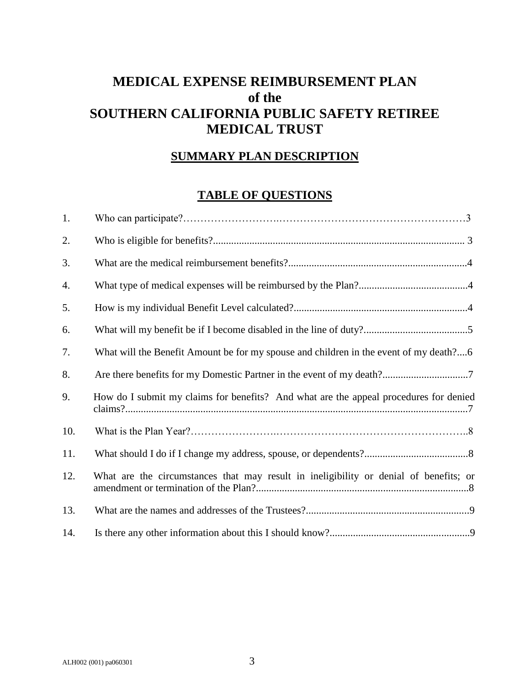## **MEDICAL EXPENSE REIMBURSEMENT PLAN of the SOUTHERN CALIFORNIA PUBLIC SAFETY RETIREE MEDICAL TRUST**

## **SUMMARY PLAN DESCRIPTION**

## **TABLE OF QUESTIONS**

| 1.  |                                                                                       |
|-----|---------------------------------------------------------------------------------------|
| 2.  |                                                                                       |
| 3.  |                                                                                       |
| 4.  |                                                                                       |
| 5.  |                                                                                       |
| 6.  |                                                                                       |
| 7.  | What will the Benefit Amount be for my spouse and children in the event of my death?6 |
| 8.  |                                                                                       |
| 9.  | How do I submit my claims for benefits? And what are the appeal procedures for denied |
| 10. |                                                                                       |
| 11. |                                                                                       |
| 12. | What are the circumstances that may result in ineligibility or denial of benefits; or |
| 13. |                                                                                       |
| 14. |                                                                                       |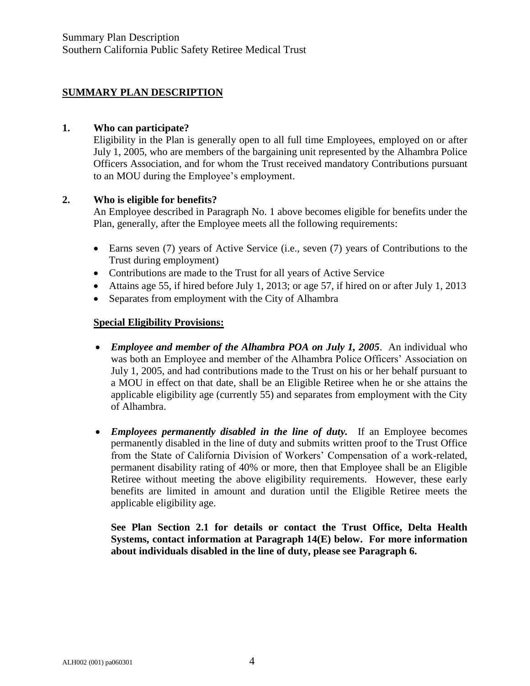## **SUMMARY PLAN DESCRIPTION**

#### **1. Who can participate?**

Eligibility in the Plan is generally open to all full time Employees, employed on or after July 1, 2005, who are members of the bargaining unit represented by the Alhambra Police Officers Association, and for whom the Trust received mandatory Contributions pursuant to an MOU during the Employee's employment.

#### **2. Who is eligible for benefits?**

An Employee described in Paragraph No. 1 above becomes eligible for benefits under the Plan, generally, after the Employee meets all the following requirements:

- Earns seven (7) years of Active Service (i.e., seven (7) years of Contributions to the Trust during employment)
- Contributions are made to the Trust for all years of Active Service
- Attains age 55, if hired before July 1, 2013; or age 57, if hired on or after July 1, 2013
- Separates from employment with the City of Alhambra

#### **Special Eligibility Provisions:**

- *Employee and member of the Alhambra POA on July 1, 2005*. An individual who was both an Employee and member of the Alhambra Police Officers' Association on July 1, 2005, and had contributions made to the Trust on his or her behalf pursuant to a MOU in effect on that date, shall be an Eligible Retiree when he or she attains the applicable eligibility age (currently 55) and separates from employment with the City of Alhambra.
- *Employees permanently disabled in the line of duty.* If an Employee becomes permanently disabled in the line of duty and submits written proof to the Trust Office from the State of California Division of Workers' Compensation of a work-related, permanent disability rating of 40% or more, then that Employee shall be an Eligible Retiree without meeting the above eligibility requirements. However, these early benefits are limited in amount and duration until the Eligible Retiree meets the applicable eligibility age.

**See Plan Section 2.1 for details or contact the Trust Office, Delta Health Systems, contact information at Paragraph 14(E) below. For more information about individuals disabled in the line of duty, please see Paragraph 6.**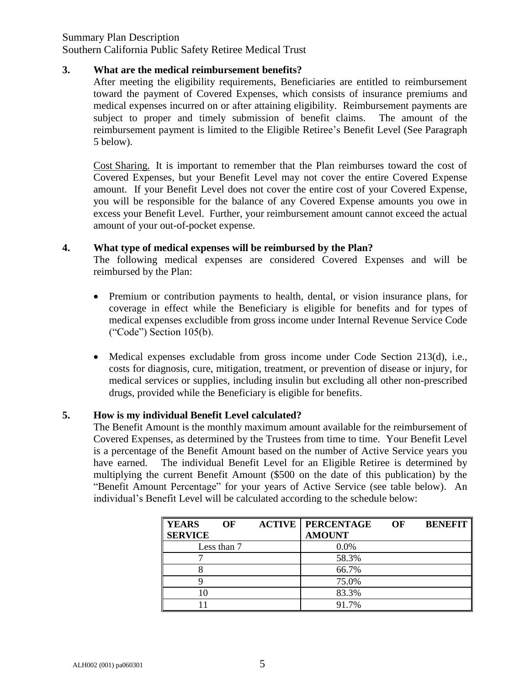### Summary Plan Description

Southern California Public Safety Retiree Medical Trust

#### **3. What are the medical reimbursement benefits?**

After meeting the eligibility requirements, Beneficiaries are entitled to reimbursement toward the payment of Covered Expenses, which consists of insurance premiums and medical expenses incurred on or after attaining eligibility. Reimbursement payments are subject to proper and timely submission of benefit claims. The amount of the reimbursement payment is limited to the Eligible Retiree's Benefit Level (See Paragraph 5 below).

Cost Sharing. It is important to remember that the Plan reimburses toward the cost of Covered Expenses, but your Benefit Level may not cover the entire Covered Expense amount. If your Benefit Level does not cover the entire cost of your Covered Expense, you will be responsible for the balance of any Covered Expense amounts you owe in excess your Benefit Level. Further, your reimbursement amount cannot exceed the actual amount of your out-of-pocket expense.

#### **4. What type of medical expenses will be reimbursed by the Plan?**

The following medical expenses are considered Covered Expenses and will be reimbursed by the Plan:

- Premium or contribution payments to health, dental, or vision insurance plans, for coverage in effect while the Beneficiary is eligible for benefits and for types of medical expenses excludible from gross income under Internal Revenue Service Code ("Code") Section 105(b).
- Medical expenses excludable from gross income under Code Section 213(d), i.e., costs for diagnosis, cure, mitigation, treatment, or prevention of disease or injury, for medical services or supplies, including insulin but excluding all other non-prescribed drugs, provided while the Beneficiary is eligible for benefits.

#### **5. How is my individual Benefit Level calculated?**

The Benefit Amount is the monthly maximum amount available for the reimbursement of Covered Expenses, as determined by the Trustees from time to time. Your Benefit Level is a percentage of the Benefit Amount based on the number of Active Service years you have earned. The individual Benefit Level for an Eligible Retiree is determined by multiplying the current Benefit Amount (\$500 on the date of this publication) by the "Benefit Amount Percentage" for your years of Active Service (see table below). An individual's Benefit Level will be calculated according to the schedule below:

| <b>YEARS</b>   | OF          | <b>ACTIVE   PERCENTAGE</b> | OF | <b>BENEFIT</b> |
|----------------|-------------|----------------------------|----|----------------|
| <b>SERVICE</b> |             | <b>AMOUNT</b>              |    |                |
|                | Less than 7 | 0.0%                       |    |                |
|                |             | 58.3%                      |    |                |
|                |             | 66.7%                      |    |                |
|                |             | 75.0%                      |    |                |
| 10             |             | 83.3%                      |    |                |
|                |             | 91.7%                      |    |                |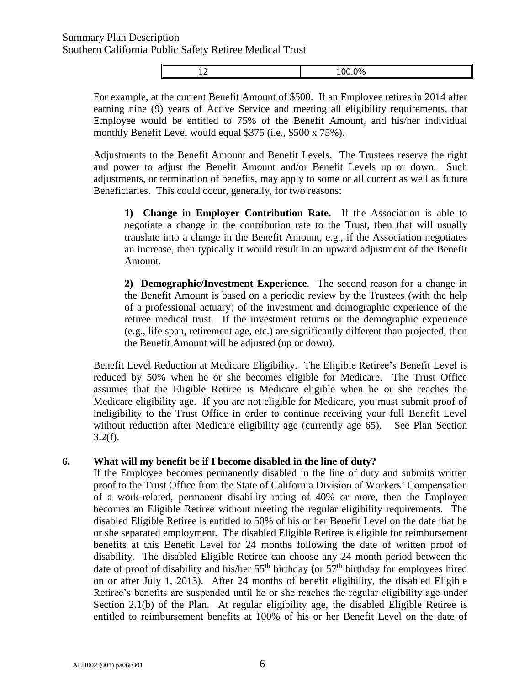12 100.0%

For example, at the current Benefit Amount of \$500. If an Employee retires in 2014 after earning nine (9) years of Active Service and meeting all eligibility requirements, that Employee would be entitled to 75% of the Benefit Amount, and his/her individual monthly Benefit Level would equal \$375 (i.e., \$500 x 75%).

Adjustments to the Benefit Amount and Benefit Levels. The Trustees reserve the right and power to adjust the Benefit Amount and/or Benefit Levels up or down. Such adjustments, or termination of benefits, may apply to some or all current as well as future Beneficiaries. This could occur, generally, for two reasons:

**1) Change in Employer Contribution Rate.** If the Association is able to negotiate a change in the contribution rate to the Trust, then that will usually translate into a change in the Benefit Amount, e.g., if the Association negotiates an increase, then typically it would result in an upward adjustment of the Benefit Amount.

**2) Demographic/Investment Experience**. The second reason for a change in the Benefit Amount is based on a periodic review by the Trustees (with the help of a professional actuary) of the investment and demographic experience of the retiree medical trust. If the investment returns or the demographic experience (e.g., life span, retirement age, etc.) are significantly different than projected, then the Benefit Amount will be adjusted (up or down).

Benefit Level Reduction at Medicare Eligibility. The Eligible Retiree's Benefit Level is reduced by 50% when he or she becomes eligible for Medicare. The Trust Office assumes that the Eligible Retiree is Medicare eligible when he or she reaches the Medicare eligibility age. If you are not eligible for Medicare, you must submit proof of ineligibility to the Trust Office in order to continue receiving your full Benefit Level without reduction after Medicare eligibility age (currently age 65). See Plan Section  $3.2(f).$ 

#### **6. What will my benefit be if I become disabled in the line of duty?**

If the Employee becomes permanently disabled in the line of duty and submits written proof to the Trust Office from the State of California Division of Workers' Compensation of a work-related, permanent disability rating of 40% or more, then the Employee becomes an Eligible Retiree without meeting the regular eligibility requirements. The disabled Eligible Retiree is entitled to 50% of his or her Benefit Level on the date that he or she separated employment. The disabled Eligible Retiree is eligible for reimbursement benefits at this Benefit Level for 24 months following the date of written proof of disability. The disabled Eligible Retiree can choose any 24 month period between the date of proof of disability and his/her  $55<sup>th</sup>$  birthday (or  $57<sup>th</sup>$  birthday for employees hired on or after July 1, 2013). After 24 months of benefit eligibility, the disabled Eligible Retiree's benefits are suspended until he or she reaches the regular eligibility age under Section 2.1(b) of the Plan. At regular eligibility age, the disabled Eligible Retiree is entitled to reimbursement benefits at 100% of his or her Benefit Level on the date of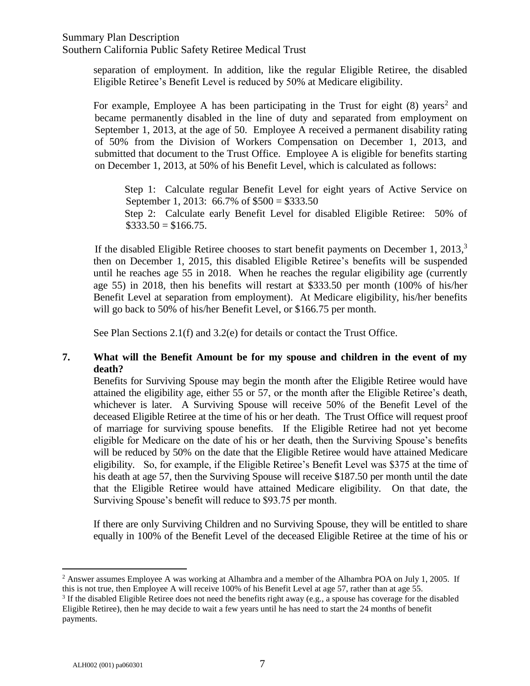Southern California Public Safety Retiree Medical Trust

separation of employment. In addition, like the regular Eligible Retiree, the disabled Eligible Retiree's Benefit Level is reduced by 50% at Medicare eligibility.

For example, Employee A has been participating in the Trust for eight  $(8)$  years<sup>2</sup> and became permanently disabled in the line of duty and separated from employment on September 1, 2013, at the age of 50. Employee A received a permanent disability rating of 50% from the Division of Workers Compensation on December 1, 2013, and submitted that document to the Trust Office. Employee A is eligible for benefits starting on December 1, 2013, at 50% of his Benefit Level, which is calculated as follows:

Step 1: Calculate regular Benefit Level for eight years of Active Service on September 1, 2013: 66.7% of \$500 = \$333.50 Step 2: Calculate early Benefit Level for disabled Eligible Retiree: 50% of  $\$333.50 = \$166.75.$ 

If the disabled Eligible Retiree chooses to start benefit payments on December 1, 2013,<sup>3</sup> then on December 1, 2015, this disabled Eligible Retiree's benefits will be suspended until he reaches age 55 in 2018. When he reaches the regular eligibility age (currently age 55) in 2018, then his benefits will restart at \$333.50 per month (100% of his/her Benefit Level at separation from employment). At Medicare eligibility, his/her benefits will go back to 50% of his/her Benefit Level, or \$166.75 per month.

See Plan Sections 2.1(f) and 3.2(e) for details or contact the Trust Office.

## **7. What will the Benefit Amount be for my spouse and children in the event of my death?**

Benefits for Surviving Spouse may begin the month after the Eligible Retiree would have attained the eligibility age, either 55 or 57, or the month after the Eligible Retiree's death, whichever is later. A Surviving Spouse will receive 50% of the Benefit Level of the deceased Eligible Retiree at the time of his or her death. The Trust Office will request proof of marriage for surviving spouse benefits. If the Eligible Retiree had not yet become eligible for Medicare on the date of his or her death, then the Surviving Spouse's benefits will be reduced by 50% on the date that the Eligible Retiree would have attained Medicare eligibility. So, for example, if the Eligible Retiree's Benefit Level was \$375 at the time of his death at age 57, then the Surviving Spouse will receive \$187.50 per month until the date that the Eligible Retiree would have attained Medicare eligibility. On that date, the Surviving Spouse's benefit will reduce to \$93.75 per month.

If there are only Surviving Children and no Surviving Spouse, they will be entitled to share equally in 100% of the Benefit Level of the deceased Eligible Retiree at the time of his or

<sup>&</sup>lt;sup>2</sup> Answer assumes Employee A was working at Alhambra and a member of the Alhambra POA on July 1, 2005. If this is not true, then Employee A will receive 100% of his Benefit Level at age 57, rather than at age 55.

<sup>&</sup>lt;sup>3</sup> If the disabled Eligible Retiree does not need the benefits right away (e.g., a spouse has coverage for the disabled Eligible Retiree), then he may decide to wait a few years until he has need to start the 24 months of benefit payments.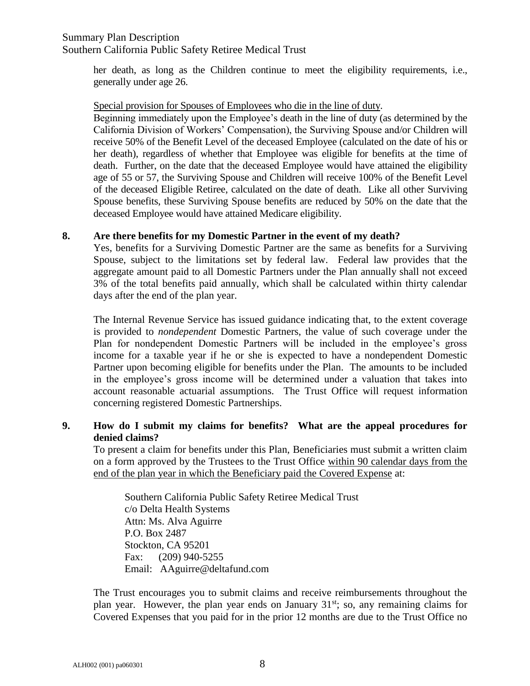### Summary Plan Description Southern California Public Safety Retiree Medical Trust

her death, as long as the Children continue to meet the eligibility requirements, i.e., generally under age 26.

Special provision for Spouses of Employees who die in the line of duty.

Beginning immediately upon the Employee's death in the line of duty (as determined by the California Division of Workers' Compensation), the Surviving Spouse and/or Children will receive 50% of the Benefit Level of the deceased Employee (calculated on the date of his or her death), regardless of whether that Employee was eligible for benefits at the time of death. Further, on the date that the deceased Employee would have attained the eligibility age of 55 or 57, the Surviving Spouse and Children will receive 100% of the Benefit Level of the deceased Eligible Retiree, calculated on the date of death. Like all other Surviving Spouse benefits, these Surviving Spouse benefits are reduced by 50% on the date that the deceased Employee would have attained Medicare eligibility.

#### **8. Are there benefits for my Domestic Partner in the event of my death?**

Yes, benefits for a Surviving Domestic Partner are the same as benefits for a Surviving Spouse, subject to the limitations set by federal law. Federal law provides that the aggregate amount paid to all Domestic Partners under the Plan annually shall not exceed 3% of the total benefits paid annually, which shall be calculated within thirty calendar days after the end of the plan year.

The Internal Revenue Service has issued guidance indicating that, to the extent coverage is provided to *nondependent* Domestic Partners, the value of such coverage under the Plan for nondependent Domestic Partners will be included in the employee's gross income for a taxable year if he or she is expected to have a nondependent Domestic Partner upon becoming eligible for benefits under the Plan. The amounts to be included in the employee's gross income will be determined under a valuation that takes into account reasonable actuarial assumptions. The Trust Office will request information concerning registered Domestic Partnerships.

## **9. How do I submit my claims for benefits? What are the appeal procedures for denied claims?**

To present a claim for benefits under this Plan, Beneficiaries must submit a written claim on a form approved by the Trustees to the Trust Office within 90 calendar days from the end of the plan year in which the Beneficiary paid the Covered Expense at:

Southern California Public Safety Retiree Medical Trust c/o Delta Health Systems Attn: Ms. Alva Aguirre P.O. Box 2487 Stockton, CA 95201 Fax: (209) 940-5255 Email: AAguirre@deltafund.com

The Trust encourages you to submit claims and receive reimbursements throughout the plan year. However, the plan year ends on January  $31<sup>st</sup>$ ; so, any remaining claims for Covered Expenses that you paid for in the prior 12 months are due to the Trust Office no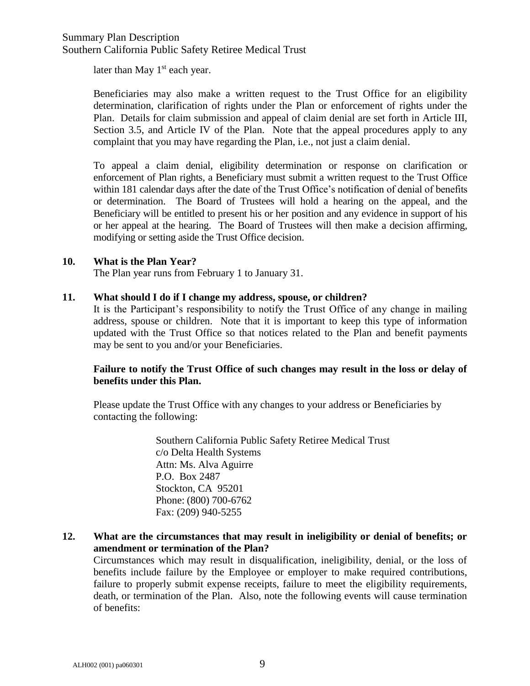## Summary Plan Description Southern California Public Safety Retiree Medical Trust

later than May  $1<sup>st</sup>$  each year.

Beneficiaries may also make a written request to the Trust Office for an eligibility determination, clarification of rights under the Plan or enforcement of rights under the Plan. Details for claim submission and appeal of claim denial are set forth in Article III, Section 3.5, and Article IV of the Plan. Note that the appeal procedures apply to any complaint that you may have regarding the Plan, i.e., not just a claim denial.

To appeal a claim denial, eligibility determination or response on clarification or enforcement of Plan rights, a Beneficiary must submit a written request to the Trust Office within 181 calendar days after the date of the Trust Office's notification of denial of benefits or determination. The Board of Trustees will hold a hearing on the appeal, and the Beneficiary will be entitled to present his or her position and any evidence in support of his or her appeal at the hearing. The Board of Trustees will then make a decision affirming, modifying or setting aside the Trust Office decision.

#### **10. What is the Plan Year?**

The Plan year runs from February 1 to January 31.

#### **11. What should I do if I change my address, spouse, or children?**

It is the Participant's responsibility to notify the Trust Office of any change in mailing address, spouse or children. Note that it is important to keep this type of information updated with the Trust Office so that notices related to the Plan and benefit payments may be sent to you and/or your Beneficiaries.

## **Failure to notify the Trust Office of such changes may result in the loss or delay of benefits under this Plan.**

Please update the Trust Office with any changes to your address or Beneficiaries by contacting the following:

> Southern California Public Safety Retiree Medical Trust c/o Delta Health Systems Attn: Ms. Alva Aguirre P.O. Box 2487 Stockton, CA 95201 Phone: (800) 700-6762 Fax: (209) 940-5255

#### **12. What are the circumstances that may result in ineligibility or denial of benefits; or amendment or termination of the Plan?**

Circumstances which may result in disqualification, ineligibility, denial, or the loss of benefits include failure by the Employee or employer to make required contributions, failure to properly submit expense receipts, failure to meet the eligibility requirements, death, or termination of the Plan. Also, note the following events will cause termination of benefits: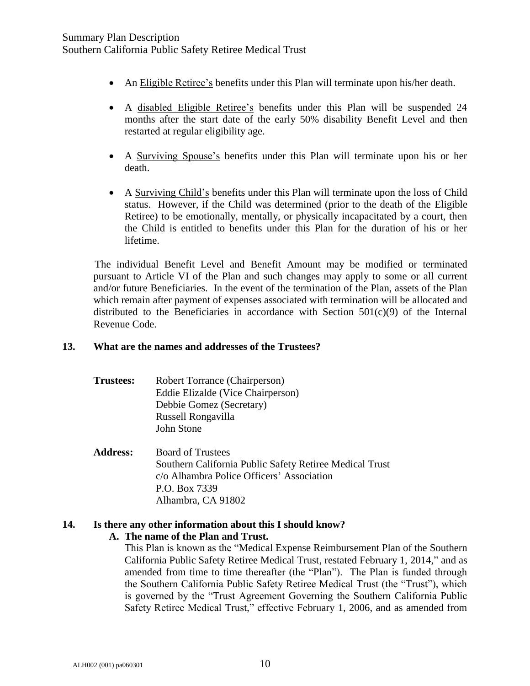- An Eligible Retiree's benefits under this Plan will terminate upon his/her death.
- A disabled Eligible Retiree's benefits under this Plan will be suspended 24 months after the start date of the early 50% disability Benefit Level and then restarted at regular eligibility age.
- A Surviving Spouse's benefits under this Plan will terminate upon his or her death.
- A Surviving Child's benefits under this Plan will terminate upon the loss of Child status. However, if the Child was determined (prior to the death of the Eligible Retiree) to be emotionally, mentally, or physically incapacitated by a court, then the Child is entitled to benefits under this Plan for the duration of his or her lifetime.

The individual Benefit Level and Benefit Amount may be modified or terminated pursuant to Article VI of the Plan and such changes may apply to some or all current and/or future Beneficiaries. In the event of the termination of the Plan, assets of the Plan which remain after payment of expenses associated with termination will be allocated and distributed to the Beneficiaries in accordance with Section  $501(c)(9)$  of the Internal Revenue Code.

### **13. What are the names and addresses of the Trustees?**

| Trustees: | Robert Torrance (Chairperson)     |
|-----------|-----------------------------------|
|           | Eddie Elizalde (Vice Chairperson) |
|           | Debbie Gomez (Secretary)          |
|           | Russell Rongavilla                |
|           | John Stone                        |

**Address:** Board of Trustees Southern California Public Safety Retiree Medical Trust c/o Alhambra Police Officers' Association P.O. Box 7339 Alhambra, CA 91802

## **14. Is there any other information about this I should know?**

#### **A. The name of the Plan and Trust.**

This Plan is known as the "Medical Expense Reimbursement Plan of the Southern California Public Safety Retiree Medical Trust, restated February 1, 2014," and as amended from time to time thereafter (the "Plan"). The Plan is funded through the Southern California Public Safety Retiree Medical Trust (the "Trust"), which is governed by the "Trust Agreement Governing the Southern California Public Safety Retiree Medical Trust," effective February 1, 2006, and as amended from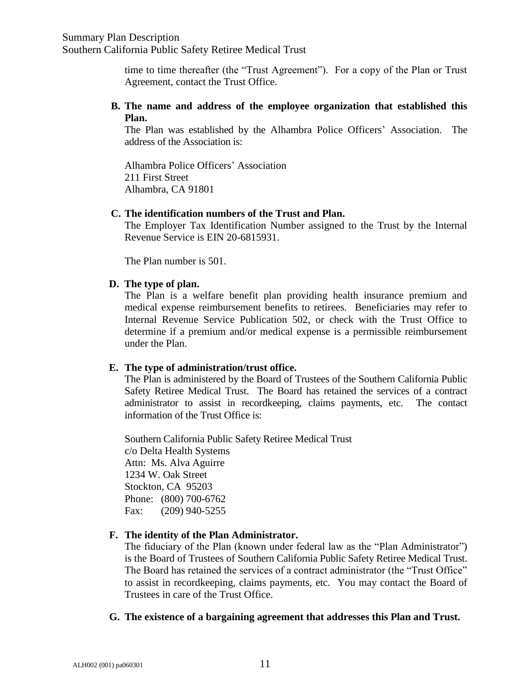time to time thereafter (the "Trust Agreement"). For a copy of the Plan or Trust Agreement, contact the Trust Office.

**B. The name and address of the employee organization that established this Plan.**

The Plan was established by the Alhambra Police Officers' Association. The address of the Association is:

Alhambra Police Officers' Association 211 First Street Alhambra, CA 91801

#### **C. The identification numbers of the Trust and Plan.**

The Employer Tax Identification Number assigned to the Trust by the Internal Revenue Service is EIN 20-6815931.

The Plan number is 501.

#### **D. The type of plan.**

The Plan is a welfare benefit plan providing health insurance premium and medical expense reimbursement benefits to retirees. Beneficiaries may refer to Internal Revenue Service Publication 502, or check with the Trust Office to determine if a premium and/or medical expense is a permissible reimbursement under the Plan.

## **E. The type of administration/trust office.**

The Plan is administered by the Board of Trustees of the Southern California Public Safety Retiree Medical Trust. The Board has retained the services of a contract administrator to assist in recordkeeping, claims payments, etc. The contact information of the Trust Office is:

Southern California Public Safety Retiree Medical Trust c/o Delta Health Systems Attn: Ms. Alva Aguirre 1234 W. Oak Street Stockton, CA 95203 Phone: (800) 700-6762 Fax: (209) 940-5255

## **F. The identity of the Plan Administrator.**

The fiduciary of the Plan (known under federal law as the "Plan Administrator") is the Board of Trustees of Southern California Public Safety Retiree Medical Trust. The Board has retained the services of a contract administrator (the "Trust Office" to assist in recordkeeping, claims payments, etc. You may contact the Board of Trustees in care of the Trust Office.

## **G. The existence of a bargaining agreement that addresses this Plan and Trust.**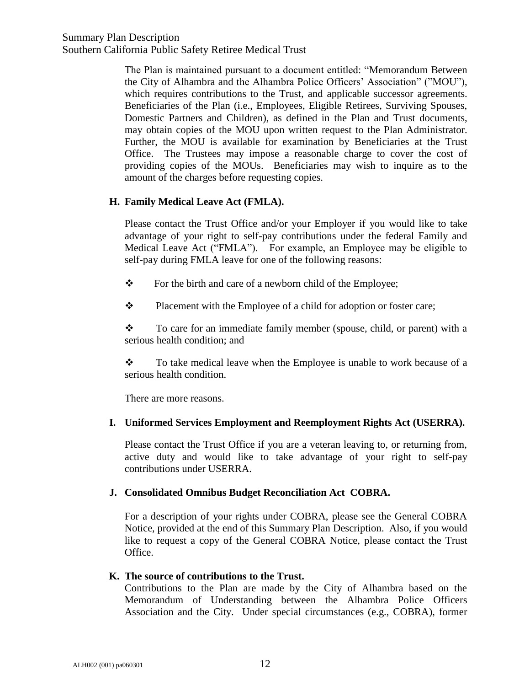Southern California Public Safety Retiree Medical Trust

The Plan is maintained pursuant to a document entitled: "Memorandum Between the City of Alhambra and the Alhambra Police Officers' Association" ("MOU"), which requires contributions to the Trust, and applicable successor agreements. Beneficiaries of the Plan (i.e., Employees, Eligible Retirees, Surviving Spouses, Domestic Partners and Children), as defined in the Plan and Trust documents, may obtain copies of the MOU upon written request to the Plan Administrator. Further, the MOU is available for examination by Beneficiaries at the Trust Office. The Trustees may impose a reasonable charge to cover the cost of providing copies of the MOUs. Beneficiaries may wish to inquire as to the amount of the charges before requesting copies.

## **H. Family Medical Leave Act (FMLA).**

Please contact the Trust Office and/or your Employer if you would like to take advantage of your right to self-pay contributions under the federal Family and Medical Leave Act ("FMLA"). For example, an Employee may be eligible to self-pay during FMLA leave for one of the following reasons:

- \* For the birth and care of a newborn child of the Employee;
- Placement with the Employee of a child for adoption or foster care;

\* To care for an immediate family member (spouse, child, or parent) with a serious health condition; and

\* To take medical leave when the Employee is unable to work because of a serious health condition.

There are more reasons.

## **I. Uniformed Services Employment and Reemployment Rights Act (USERRA).**

Please contact the Trust Office if you are a veteran leaving to, or returning from, active duty and would like to take advantage of your right to self-pay contributions under USERRA.

## **J. Consolidated Omnibus Budget Reconciliation Act COBRA.**

For a description of your rights under COBRA, please see the General COBRA Notice, provided at the end of this Summary Plan Description. Also, if you would like to request a copy of the General COBRA Notice, please contact the Trust Office.

## **K. The source of contributions to the Trust.**

Contributions to the Plan are made by the City of Alhambra based on the Memorandum of Understanding between the Alhambra Police Officers Association and the City. Under special circumstances (e.g., COBRA), former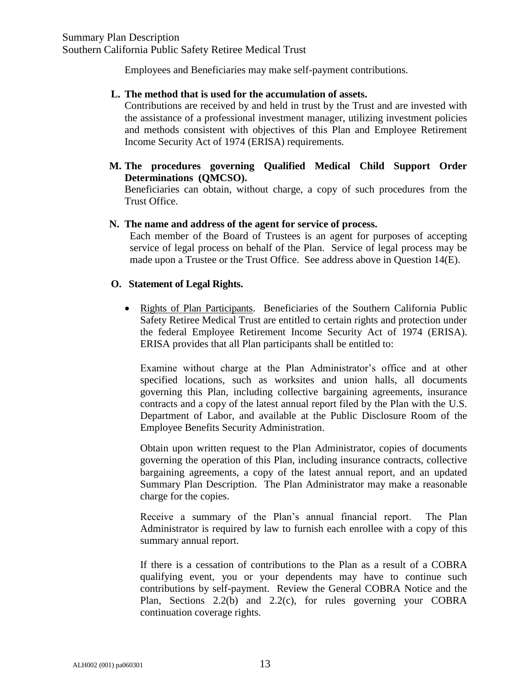Employees and Beneficiaries may make self-payment contributions.

#### **L. The method that is used for the accumulation of assets.**

Contributions are received by and held in trust by the Trust and are invested with the assistance of a professional investment manager, utilizing investment policies and methods consistent with objectives of this Plan and Employee Retirement Income Security Act of 1974 (ERISA) requirements.

**M. The procedures governing Qualified Medical Child Support Order Determinations (QMCSO).**

Beneficiaries can obtain, without charge, a copy of such procedures from the Trust Office.

#### **N. The name and address of the agent for service of process.**

Each member of the Board of Trustees is an agent for purposes of accepting service of legal process on behalf of the Plan. Service of legal process may be made upon a Trustee or the Trust Office. See address above in Question 14(E).

#### **O. Statement of Legal Rights.**

• Rights of Plan Participants. Beneficiaries of the Southern California Public Safety Retiree Medical Trust are entitled to certain rights and protection under the federal Employee Retirement Income Security Act of 1974 (ERISA). ERISA provides that all Plan participants shall be entitled to:

Examine without charge at the Plan Administrator's office and at other specified locations, such as worksites and union halls, all documents governing this Plan, including collective bargaining agreements, insurance contracts and a copy of the latest annual report filed by the Plan with the U.S. Department of Labor, and available at the Public Disclosure Room of the Employee Benefits Security Administration.

Obtain upon written request to the Plan Administrator, copies of documents governing the operation of this Plan, including insurance contracts, collective bargaining agreements, a copy of the latest annual report, and an updated Summary Plan Description. The Plan Administrator may make a reasonable charge for the copies.

Receive a summary of the Plan's annual financial report. The Plan Administrator is required by law to furnish each enrollee with a copy of this summary annual report.

If there is a cessation of contributions to the Plan as a result of a COBRA qualifying event, you or your dependents may have to continue such contributions by self-payment. Review the General COBRA Notice and the Plan, Sections 2.2(b) and 2.2(c), for rules governing your COBRA continuation coverage rights.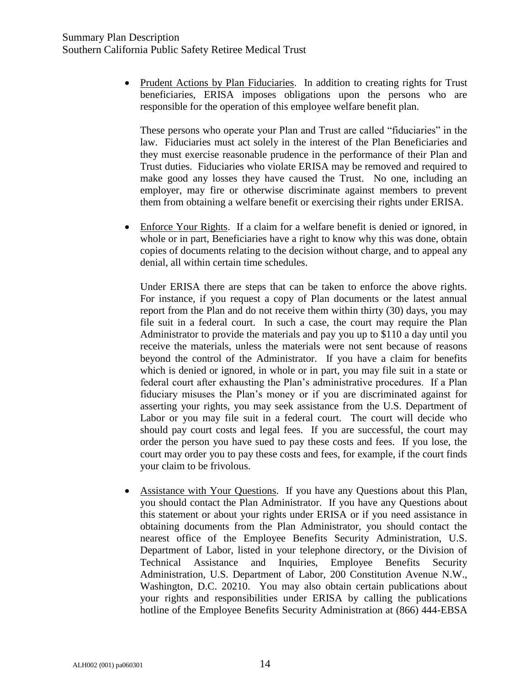• Prudent Actions by Plan Fiduciaries. In addition to creating rights for Trust beneficiaries, ERISA imposes obligations upon the persons who are responsible for the operation of this employee welfare benefit plan.

These persons who operate your Plan and Trust are called "fiduciaries" in the law. Fiduciaries must act solely in the interest of the Plan Beneficiaries and they must exercise reasonable prudence in the performance of their Plan and Trust duties. Fiduciaries who violate ERISA may be removed and required to make good any losses they have caused the Trust. No one, including an employer, may fire or otherwise discriminate against members to prevent them from obtaining a welfare benefit or exercising their rights under ERISA.

 Enforce Your Rights. If a claim for a welfare benefit is denied or ignored, in whole or in part, Beneficiaries have a right to know why this was done, obtain copies of documents relating to the decision without charge, and to appeal any denial, all within certain time schedules.

Under ERISA there are steps that can be taken to enforce the above rights. For instance, if you request a copy of Plan documents or the latest annual report from the Plan and do not receive them within thirty (30) days, you may file suit in a federal court. In such a case, the court may require the Plan Administrator to provide the materials and pay you up to \$110 a day until you receive the materials, unless the materials were not sent because of reasons beyond the control of the Administrator. If you have a claim for benefits which is denied or ignored, in whole or in part, you may file suit in a state or federal court after exhausting the Plan's administrative procedures. If a Plan fiduciary misuses the Plan's money or if you are discriminated against for asserting your rights, you may seek assistance from the U.S. Department of Labor or you may file suit in a federal court. The court will decide who should pay court costs and legal fees. If you are successful, the court may order the person you have sued to pay these costs and fees. If you lose, the court may order you to pay these costs and fees, for example, if the court finds your claim to be frivolous.

 Assistance with Your Questions. If you have any Questions about this Plan, you should contact the Plan Administrator. If you have any Questions about this statement or about your rights under ERISA or if you need assistance in obtaining documents from the Plan Administrator, you should contact the nearest office of the Employee Benefits Security Administration, U.S. Department of Labor, listed in your telephone directory, or the Division of Technical Assistance and Inquiries, Employee Benefits Security Administration, U.S. Department of Labor, 200 Constitution Avenue N.W., Washington, D.C. 20210. You may also obtain certain publications about your rights and responsibilities under ERISA by calling the publications hotline of the Employee Benefits Security Administration at (866) 444-EBSA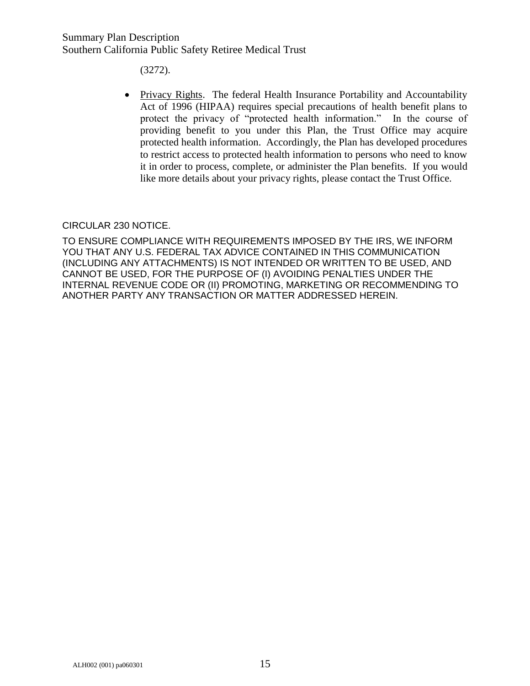(3272).

• Privacy Rights. The federal Health Insurance Portability and Accountability Act of 1996 (HIPAA) requires special precautions of health benefit plans to protect the privacy of "protected health information." In the course of providing benefit to you under this Plan, the Trust Office may acquire protected health information. Accordingly, the Plan has developed procedures to restrict access to protected health information to persons who need to know it in order to process, complete, or administer the Plan benefits. If you would like more details about your privacy rights, please contact the Trust Office.

#### CIRCULAR 230 NOTICE.

TO ENSURE COMPLIANCE WITH REQUIREMENTS IMPOSED BY THE IRS, WE INFORM YOU THAT ANY U.S. FEDERAL TAX ADVICE CONTAINED IN THIS COMMUNICATION (INCLUDING ANY ATTACHMENTS) IS NOT INTENDED OR WRITTEN TO BE USED, AND CANNOT BE USED, FOR THE PURPOSE OF (I) AVOIDING PENALTIES UNDER THE INTERNAL REVENUE CODE OR (II) PROMOTING, MARKETING OR RECOMMENDING TO ANOTHER PARTY ANY TRANSACTION OR MATTER ADDRESSED HEREIN.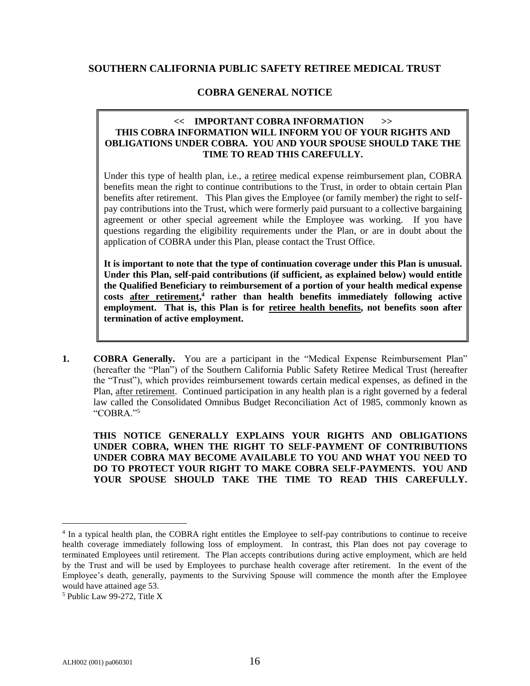#### **SOUTHERN CALIFORNIA PUBLIC SAFETY RETIREE MEDICAL TRUST**

#### **COBRA GENERAL NOTICE**

#### **<< IMPORTANT COBRA INFORMATION >> THIS COBRA INFORMATION WILL INFORM YOU OF YOUR RIGHTS AND OBLIGATIONS UNDER COBRA. YOU AND YOUR SPOUSE SHOULD TAKE THE TIME TO READ THIS CAREFULLY.**

Under this type of health plan, i.e., a retiree medical expense reimbursement plan, COBRA benefits mean the right to continue contributions to the Trust, in order to obtain certain Plan benefits after retirement. This Plan gives the Employee (or family member) the right to selfpay contributions into the Trust, which were formerly paid pursuant to a collective bargaining agreement or other special agreement while the Employee was working. If you have questions regarding the eligibility requirements under the Plan, or are in doubt about the application of COBRA under this Plan, please contact the Trust Office.

**It is important to note that the type of continuation coverage under this Plan is unusual. Under this Plan, self-paid contributions (if sufficient, as explained below) would entitle the Qualified Beneficiary to reimbursement of a portion of your health medical expense costs after retirement, 4 rather than health benefits immediately following active employment. That is, this Plan is for retiree health benefits, not benefits soon after termination of active employment.**

**1. COBRA Generally.** You are a participant in the "Medical Expense Reimbursement Plan" (hereafter the "Plan") of the Southern California Public Safety Retiree Medical Trust (hereafter the "Trust"), which provides reimbursement towards certain medical expenses, as defined in the Plan, after retirement. Continued participation in any health plan is a right governed by a federal law called the Consolidated Omnibus Budget Reconciliation Act of 1985, commonly known as "COBRA."<sup>5</sup>

**THIS NOTICE GENERALLY EXPLAINS YOUR RIGHTS AND OBLIGATIONS UNDER COBRA, WHEN THE RIGHT TO SELF-PAYMENT OF CONTRIBUTIONS UNDER COBRA MAY BECOME AVAILABLE TO YOU AND WHAT YOU NEED TO DO TO PROTECT YOUR RIGHT TO MAKE COBRA SELF-PAYMENTS. YOU AND YOUR SPOUSE SHOULD TAKE THE TIME TO READ THIS CAREFULLY.**

<sup>&</sup>lt;sup>4</sup> In a typical health plan, the COBRA right entitles the Employee to self-pay contributions to continue to receive health coverage immediately following loss of employment. In contrast, this Plan does not pay coverage to terminated Employees until retirement. The Plan accepts contributions during active employment, which are held by the Trust and will be used by Employees to purchase health coverage after retirement. In the event of the Employee's death, generally, payments to the Surviving Spouse will commence the month after the Employee would have attained age 53.

<sup>5</sup> Public Law 99-272, Title X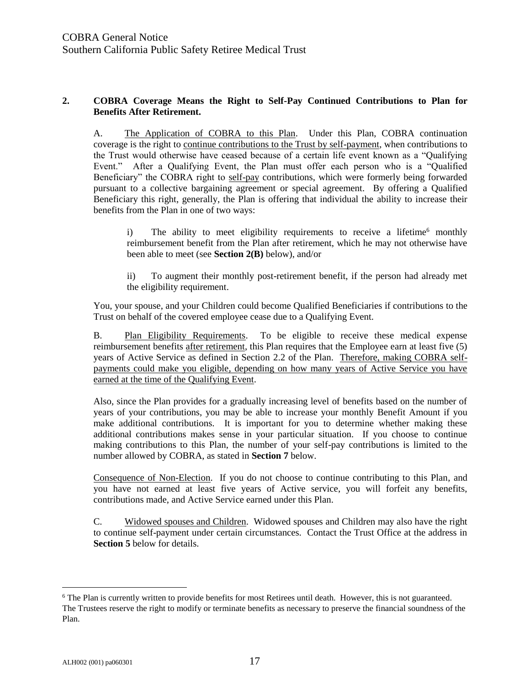#### **2. COBRA Coverage Means the Right to Self-Pay Continued Contributions to Plan for Benefits After Retirement.**

A. The Application of COBRA to this Plan. Under this Plan, COBRA continuation coverage is the right to continue contributions to the Trust by self-payment, when contributions to the Trust would otherwise have ceased because of a certain life event known as a "Qualifying Event." After a Qualifying Event, the Plan must offer each person who is a "Qualified Beneficiary" the COBRA right to self-pay contributions, which were formerly being forwarded pursuant to a collective bargaining agreement or special agreement. By offering a Qualified Beneficiary this right, generally, the Plan is offering that individual the ability to increase their benefits from the Plan in one of two ways:

i) The ability to meet eligibility requirements to receive a lifetime<sup> $6$ </sup> monthly reimbursement benefit from the Plan after retirement, which he may not otherwise have been able to meet (see **Section 2(B)** below), and/or

ii) To augment their monthly post-retirement benefit, if the person had already met the eligibility requirement.

You, your spouse, and your Children could become Qualified Beneficiaries if contributions to the Trust on behalf of the covered employee cease due to a Qualifying Event.

B. Plan Eligibility Requirements. To be eligible to receive these medical expense reimbursement benefits after retirement, this Plan requires that the Employee earn at least five (5) years of Active Service as defined in Section 2.2 of the Plan. Therefore, making COBRA selfpayments could make you eligible, depending on how many years of Active Service you have earned at the time of the Qualifying Event.

Also, since the Plan provides for a gradually increasing level of benefits based on the number of years of your contributions, you may be able to increase your monthly Benefit Amount if you make additional contributions. It is important for you to determine whether making these additional contributions makes sense in your particular situation. If you choose to continue making contributions to this Plan, the number of your self-pay contributions is limited to the number allowed by COBRA, as stated in **Section 7** below.

Consequence of Non-Election. If you do not choose to continue contributing to this Plan, and you have not earned at least five years of Active service, you will forfeit any benefits, contributions made, and Active Service earned under this Plan.

C. Widowed spouses and Children. Widowed spouses and Children may also have the right to continue self-payment under certain circumstances. Contact the Trust Office at the address in **Section 5** below for details.

<sup>&</sup>lt;sup>6</sup> The Plan is currently written to provide benefits for most Retirees until death. However, this is not guaranteed. The Trustees reserve the right to modify or terminate benefits as necessary to preserve the financial soundness of the Plan.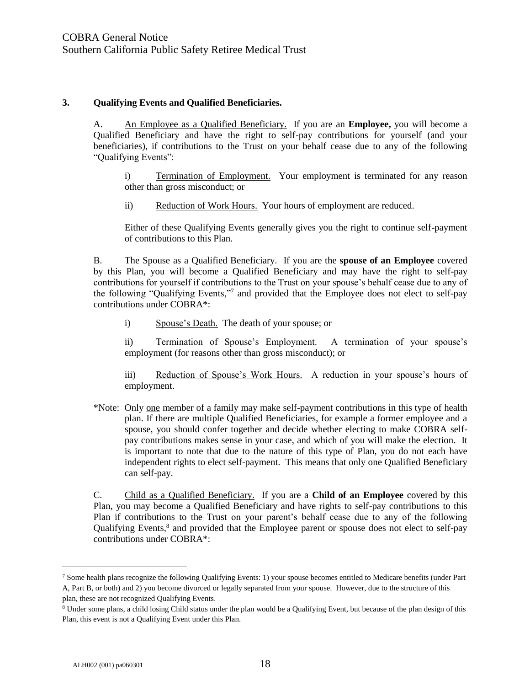#### **3. Qualifying Events and Qualified Beneficiaries.**

A. An Employee as a Qualified Beneficiary. If you are an **Employee,** you will become a Qualified Beneficiary and have the right to self-pay contributions for yourself (and your beneficiaries), if contributions to the Trust on your behalf cease due to any of the following "Qualifying Events":

- i) Termination of Employment. Your employment is terminated for any reason other than gross misconduct; or
- ii) Reduction of Work Hours. Your hours of employment are reduced.

Either of these Qualifying Events generally gives you the right to continue self-payment of contributions to this Plan.

B. The Spouse as a Qualified Beneficiary. If you are the **spouse of an Employee** covered by this Plan, you will become a Qualified Beneficiary and may have the right to self-pay contributions for yourself if contributions to the Trust on your spouse's behalf cease due to any of the following "Qualifying Events,"7 and provided that the Employee does not elect to self-pay contributions under COBRA\*:

i) Spouse's Death. The death of your spouse; or

ii) Termination of Spouse's Employment. A termination of your spouse's employment (for reasons other than gross misconduct); or

iii) Reduction of Spouse's Work Hours. A reduction in your spouse's hours of employment.

\*Note: Only one member of a family may make self-payment contributions in this type of health plan. If there are multiple Qualified Beneficiaries, for example a former employee and a spouse, you should confer together and decide whether electing to make COBRA selfpay contributions makes sense in your case, and which of you will make the election. It is important to note that due to the nature of this type of Plan, you do not each have independent rights to elect self-payment. This means that only one Qualified Beneficiary can self-pay.

C. Child as a Qualified Beneficiary. If you are a **Child of an Employee** covered by this Plan, you may become a Qualified Beneficiary and have rights to self-pay contributions to this Plan if contributions to the Trust on your parent's behalf cease due to any of the following Qualifying Events,<sup>8</sup> and provided that the Employee parent or spouse does not elect to self-pay contributions under COBRA\*:

<sup>7</sup> Some health plans recognize the following Qualifying Events: 1) your spouse becomes entitled to Medicare benefits (under Part A, Part B, or both) and 2) you become divorced or legally separated from your spouse. However, due to the structure of this plan, these are not recognized Qualifying Events.

<sup>8</sup> Under some plans, a child losing Child status under the plan would be a Qualifying Event, but because of the plan design of this Plan, this event is not a Qualifying Event under this Plan.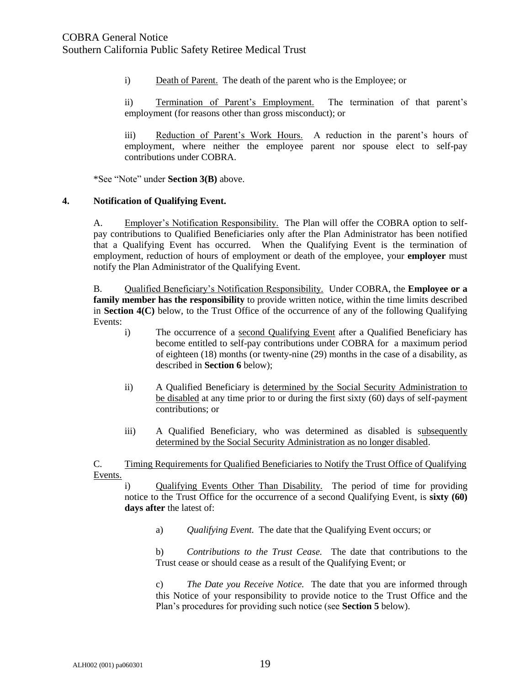i) Death of Parent. The death of the parent who is the Employee; or

ii) Termination of Parent's Employment. The termination of that parent's employment (for reasons other than gross misconduct); or

iii) Reduction of Parent's Work Hours. A reduction in the parent's hours of employment, where neither the employee parent nor spouse elect to self-pay contributions under COBRA.

\*See "Note" under **Section 3(B)** above.

#### **4. Notification of Qualifying Event.**

A. Employer's Notification Responsibility. The Plan will offer the COBRA option to selfpay contributions to Qualified Beneficiaries only after the Plan Administrator has been notified that a Qualifying Event has occurred. When the Qualifying Event is the termination of employment, reduction of hours of employment or death of the employee, your **employer** must notify the Plan Administrator of the Qualifying Event.

B. Qualified Beneficiary's Notification Responsibility. Under COBRA, the **Employee or a family member has the responsibility** to provide written notice, within the time limits described in **Section 4(C)** below, to the Trust Office of the occurrence of any of the following Qualifying Events:

- i) The occurrence of a second Qualifying Event after a Qualified Beneficiary has become entitled to self-pay contributions under COBRA for a maximum period of eighteen (18) months (or twenty-nine (29) months in the case of a disability, as described in **Section 6** below);
- ii) A Qualified Beneficiary is determined by the Social Security Administration to be disabled at any time prior to or during the first sixty (60) days of self-payment contributions; or
- iii) A Qualified Beneficiary, who was determined as disabled is subsequently determined by the Social Security Administration as no longer disabled.

C. Timing Requirements for Qualified Beneficiaries to Notify the Trust Office of Qualifying Events.

i) Qualifying Events Other Than Disability. The period of time for providing notice to the Trust Office for the occurrence of a second Qualifying Event, is **sixty (60) days after** the latest of:

a) *Qualifying Event.* The date that the Qualifying Event occurs; or

b) *Contributions to the Trust Cease.* The date that contributions to the Trust cease or should cease as a result of the Qualifying Event; or

c) *The Date you Receive Notice.* The date that you are informed through this Notice of your responsibility to provide notice to the Trust Office and the Plan's procedures for providing such notice (see **Section 5** below).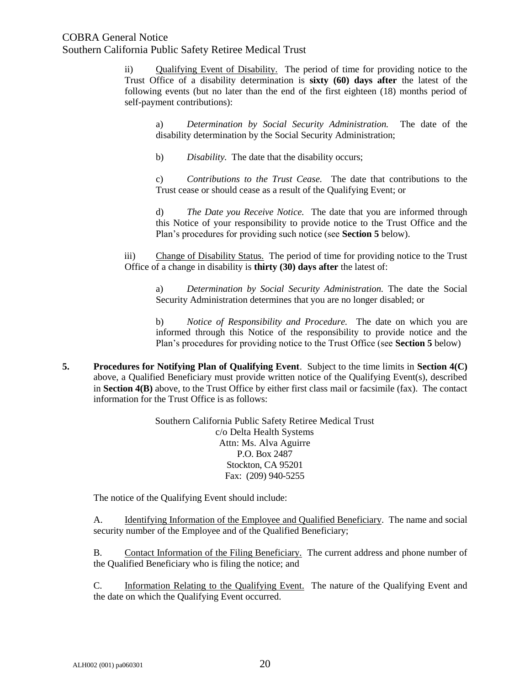## COBRA General Notice

Southern California Public Safety Retiree Medical Trust

ii) Qualifying Event of Disability. The period of time for providing notice to the Trust Office of a disability determination is **sixty (60) days after** the latest of the following events (but no later than the end of the first eighteen (18) months period of self-payment contributions):

a) *Determination by Social Security Administration.* The date of the disability determination by the Social Security Administration;

b) *Disability.* The date that the disability occurs;

c) *Contributions to the Trust Cease.* The date that contributions to the Trust cease or should cease as a result of the Qualifying Event; or

d) *The Date you Receive Notice.* The date that you are informed through this Notice of your responsibility to provide notice to the Trust Office and the Plan's procedures for providing such notice (see **Section 5** below).

iii) Change of Disability Status. The period of time for providing notice to the Trust Office of a change in disability is **thirty (30) days after** the latest of:

a) *Determination by Social Security Administration.* The date the Social Security Administration determines that you are no longer disabled; or

b) *Notice of Responsibility and Procedure.* The date on which you are informed through this Notice of the responsibility to provide notice and the Plan's procedures for providing notice to the Trust Office (see **Section 5** below)

**5. Procedures for Notifying Plan of Qualifying Event**. Subject to the time limits in **Section 4(C)** above, a Qualified Beneficiary must provide written notice of the Qualifying Event(s), described in **Section 4(B)** above, to the Trust Office by either first class mail or facsimile (fax). The contact information for the Trust Office is as follows:

> Southern California Public Safety Retiree Medical Trust c/o Delta Health Systems Attn: Ms. Alva Aguirre P.O. Box 2487 Stockton, CA 95201 Fax: (209) 940-5255

The notice of the Qualifying Event should include:

A. Identifying Information of the Employee and Qualified Beneficiary. The name and social security number of the Employee and of the Qualified Beneficiary;

B. Contact Information of the Filing Beneficiary. The current address and phone number of the Qualified Beneficiary who is filing the notice; and

C. Information Relating to the Qualifying Event. The nature of the Qualifying Event and the date on which the Qualifying Event occurred.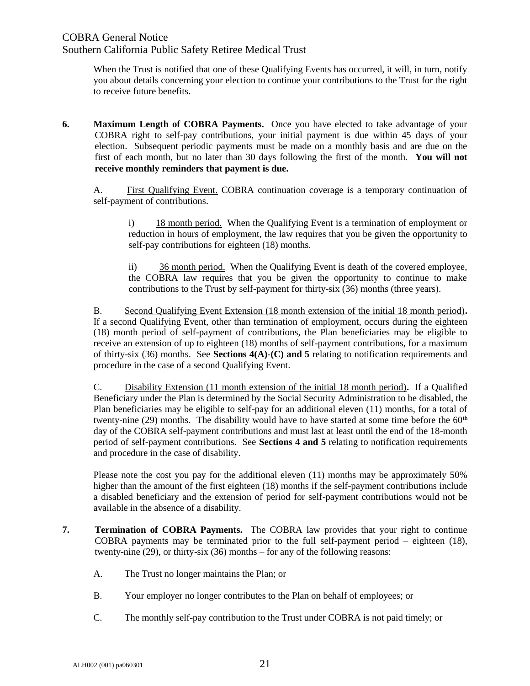## COBRA General Notice Southern California Public Safety Retiree Medical Trust

When the Trust is notified that one of these Qualifying Events has occurred, it will, in turn, notify you about details concerning your election to continue your contributions to the Trust for the right to receive future benefits.

**6. Maximum Length of COBRA Payments.** Once you have elected to take advantage of your COBRA right to self-pay contributions, your initial payment is due within 45 days of your election. Subsequent periodic payments must be made on a monthly basis and are due on the first of each month, but no later than 30 days following the first of the month. **You will not receive monthly reminders that payment is due.**

A. First Qualifying Event. COBRA continuation coverage is a temporary continuation of self-payment of contributions.

i) 18 month period. When the Qualifying Event is a termination of employment or reduction in hours of employment, the law requires that you be given the opportunity to self-pay contributions for eighteen (18) months.

ii) 36 month period. When the Qualifying Event is death of the covered employee, the COBRA law requires that you be given the opportunity to continue to make contributions to the Trust by self-payment for thirty-six (36) months (three years).

B. Second Qualifying Event Extension (18 month extension of the initial 18 month period)**.**  If a second Qualifying Event, other than termination of employment, occurs during the eighteen (18) month period of self-payment of contributions, the Plan beneficiaries may be eligible to receive an extension of up to eighteen (18) months of self-payment contributions, for a maximum of thirty-six (36) months. See **Sections 4(A)-(C) and 5** relating to notification requirements and procedure in the case of a second Qualifying Event.

C. Disability Extension (11 month extension of the initial 18 month period)**.** If a Qualified Beneficiary under the Plan is determined by the Social Security Administration to be disabled, the Plan beneficiaries may be eligible to self-pay for an additional eleven (11) months, for a total of twenty-nine (29) months. The disability would have to have started at some time before the  $60<sup>th</sup>$ day of the COBRA self-payment contributions and must last at least until the end of the 18-month period of self-payment contributions. See **Sections 4 and 5** relating to notification requirements and procedure in the case of disability.

Please note the cost you pay for the additional eleven (11) months may be approximately 50% higher than the amount of the first eighteen (18) months if the self-payment contributions include a disabled beneficiary and the extension of period for self-payment contributions would not be available in the absence of a disability.

- **7. Termination of COBRA Payments.** The COBRA law provides that your right to continue COBRA payments may be terminated prior to the full self-payment period – eighteen (18), twenty-nine (29), or thirty-six (36) months – for any of the following reasons:
	- A. The Trust no longer maintains the Plan; or
	- B. Your employer no longer contributes to the Plan on behalf of employees; or
	- C. The monthly self-pay contribution to the Trust under COBRA is not paid timely; or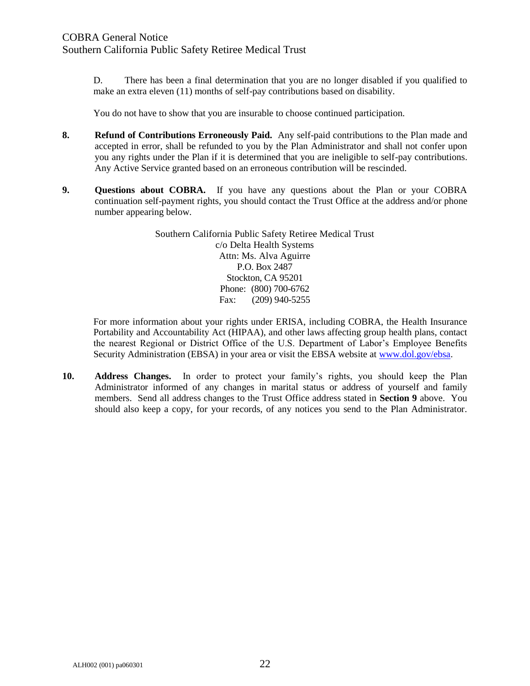D. There has been a final determination that you are no longer disabled if you qualified to make an extra eleven (11) months of self-pay contributions based on disability.

You do not have to show that you are insurable to choose continued participation.

- **8. Refund of Contributions Erroneously Paid.** Any self-paid contributions to the Plan made and accepted in error, shall be refunded to you by the Plan Administrator and shall not confer upon you any rights under the Plan if it is determined that you are ineligible to self-pay contributions. Any Active Service granted based on an erroneous contribution will be rescinded.
- **9. Questions about COBRA.** If you have any questions about the Plan or your COBRA continuation self-payment rights, you should contact the Trust Office at the address and/or phone number appearing below.

Southern California Public Safety Retiree Medical Trust c/o Delta Health Systems Attn: Ms. Alva Aguirre P.O. Box 2487 Stockton, CA 95201 Phone: (800) 700-6762 Fax: (209) 940-5255

For more information about your rights under ERISA, including COBRA, the Health Insurance Portability and Accountability Act (HIPAA), and other laws affecting group health plans, contact the nearest Regional or District Office of the U.S. Department of Labor's Employee Benefits Security Administration (EBSA) in your area or visit the EBSA website at [www.dol.gov/ebsa.](http://www.dol.gov/ebsa)

**10. Address Changes.** In order to protect your family's rights, you should keep the Plan Administrator informed of any changes in marital status or address of yourself and family members.Send all address changes to the Trust Office address stated in **Section 9** above.You should also keep a copy, for your records, of any notices you send to the Plan Administrator.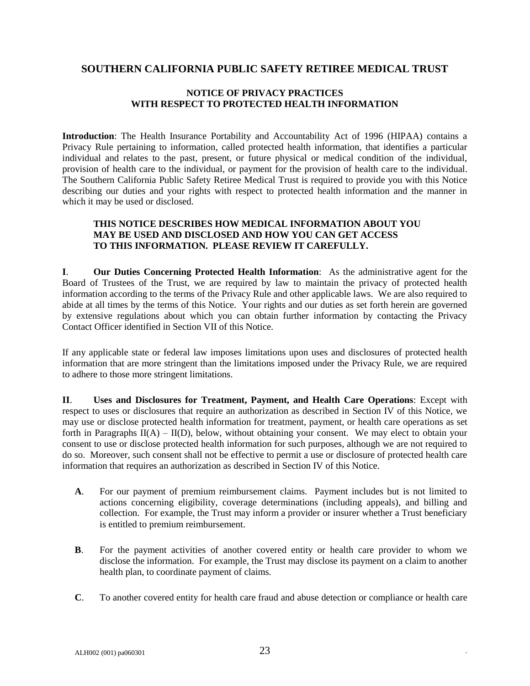#### **SOUTHERN CALIFORNIA PUBLIC SAFETY RETIREE MEDICAL TRUST**

#### **NOTICE OF PRIVACY PRACTICES WITH RESPECT TO PROTECTED HEALTH INFORMATION**

**Introduction**: The Health Insurance Portability and Accountability Act of 1996 (HIPAA) contains a Privacy Rule pertaining to information, called protected health information, that identifies a particular individual and relates to the past, present, or future physical or medical condition of the individual, provision of health care to the individual, or payment for the provision of health care to the individual. The Southern California Public Safety Retiree Medical Trust is required to provide you with this Notice describing our duties and your rights with respect to protected health information and the manner in which it may be used or disclosed.

#### **THIS NOTICE DESCRIBES HOW MEDICAL INFORMATION ABOUT YOU MAY BE USED AND DISCLOSED AND HOW YOU CAN GET ACCESS TO THIS INFORMATION. PLEASE REVIEW IT CAREFULLY.**

**I**. **Our Duties Concerning Protected Health Information**: As the administrative agent for the Board of Trustees of the Trust, we are required by law to maintain the privacy of protected health information according to the terms of the Privacy Rule and other applicable laws. We are also required to abide at all times by the terms of this Notice. Your rights and our duties as set forth herein are governed by extensive regulations about which you can obtain further information by contacting the Privacy Contact Officer identified in Section VII of this Notice.

If any applicable state or federal law imposes limitations upon uses and disclosures of protected health information that are more stringent than the limitations imposed under the Privacy Rule, we are required to adhere to those more stringent limitations.

**II**. **Uses and Disclosures for Treatment, Payment, and Health Care Operations**: Except with respect to uses or disclosures that require an authorization as described in Section IV of this Notice, we may use or disclose protected health information for treatment, payment, or health care operations as set forth in Paragraphs  $II(A) - II(D)$ , below, without obtaining your consent. We may elect to obtain your consent to use or disclose protected health information for such purposes, although we are not required to do so. Moreover, such consent shall not be effective to permit a use or disclosure of protected health care information that requires an authorization as described in Section IV of this Notice.

- **A**. For our payment of premium reimbursement claims. Payment includes but is not limited to actions concerning eligibility, coverage determinations (including appeals), and billing and collection. For example, the Trust may inform a provider or insurer whether a Trust beneficiary is entitled to premium reimbursement.
- **B**. For the payment activities of another covered entity or health care provider to whom we disclose the information. For example, the Trust may disclose its payment on a claim to another health plan, to coordinate payment of claims.
- **C**. To another covered entity for health care fraud and abuse detection or compliance or health care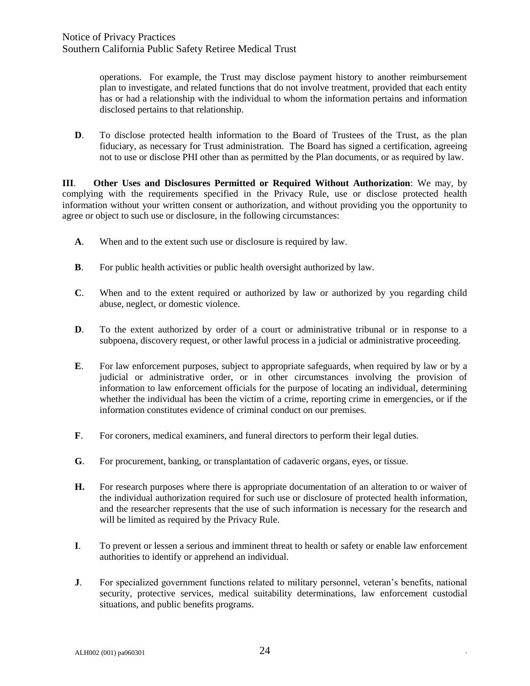operations. For example, the Trust may disclose payment history to another reimbursement plan to investigate, and related functions that do not involve treatment, provided that each entity has or had a relationship with the individual to whom the information pertains and information disclosed pertains to that relationship.

**D**. To disclose protected health information to the Board of Trustees of the Trust, as the plan fiduciary, as necessary for Trust administration. The Board has signed a certification, agreeing not to use or disclose PHI other than as permitted by the Plan documents, or as required by law.

**III**. **Other Uses and Disclosures Permitted or Required Without Authorization**: We may, by complying with the requirements specified in the Privacy Rule, use or disclose protected health information without your written consent or authorization, and without providing you the opportunity to agree or object to such use or disclosure, in the following circumstances:

- **A**. When and to the extent such use or disclosure is required by law.
- **B**. For public health activities or public health oversight authorized by law.
- **C**. When and to the extent required or authorized by law or authorized by you regarding child abuse, neglect, or domestic violence.
- **D.** To the extent authorized by order of a court or administrative tribunal or in response to a subpoena, discovery request, or other lawful process in a judicial or administrative proceeding.
- **E**. For law enforcement purposes, subject to appropriate safeguards, when required by law or by a judicial or administrative order, or in other circumstances involving the provision of information to law enforcement officials for the purpose of locating an individual, determining whether the individual has been the victim of a crime, reporting crime in emergencies, or if the information constitutes evidence of criminal conduct on our premises.
- **F**. For coroners, medical examiners, and funeral directors to perform their legal duties.
- **G**. For procurement, banking, or transplantation of cadaveric organs, eyes, or tissue.
- **H.** For research purposes where there is appropriate documentation of an alteration to or waiver of the individual authorization required for such use or disclosure of protected health information, and the researcher represents that the use of such information is necessary for the research and will be limited as required by the Privacy Rule.
- **I**. To prevent or lessen a serious and imminent threat to health or safety or enable law enforcement authorities to identify or apprehend an individual.
- **J**. For specialized government functions related to military personnel, veteran's benefits, national security, protective services, medical suitability determinations, law enforcement custodial situations, and public benefits programs.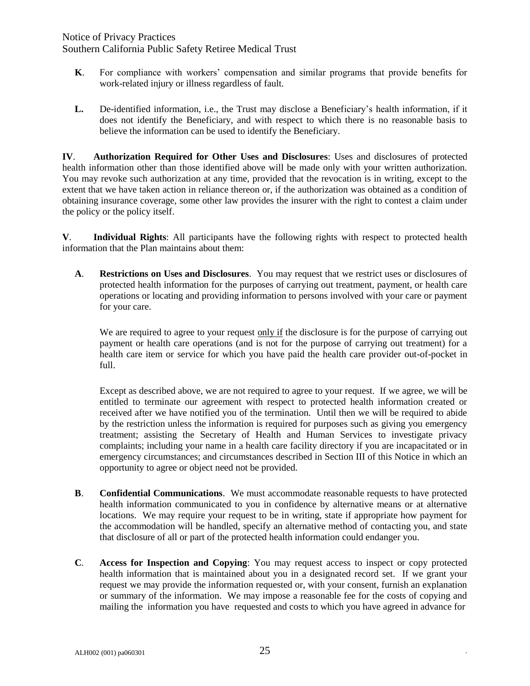### Notice of Privacy Practices Southern California Public Safety Retiree Medical Trust

- **K**. For compliance with workers' compensation and similar programs that provide benefits for work-related injury or illness regardless of fault.
- **L.** De-identified information, i.e., the Trust may disclose a Beneficiary's health information, if it does not identify the Beneficiary, and with respect to which there is no reasonable basis to believe the information can be used to identify the Beneficiary.

**IV**. **Authorization Required for Other Uses and Disclosures**: Uses and disclosures of protected health information other than those identified above will be made only with your written authorization. You may revoke such authorization at any time, provided that the revocation is in writing, except to the extent that we have taken action in reliance thereon or, if the authorization was obtained as a condition of obtaining insurance coverage, some other law provides the insurer with the right to contest a claim under the policy or the policy itself.

**V**. **Individual Rights**: All participants have the following rights with respect to protected health information that the Plan maintains about them:

**A**. **Restrictions on Uses and Disclosures**. You may request that we restrict uses or disclosures of protected health information for the purposes of carrying out treatment, payment, or health care operations or locating and providing information to persons involved with your care or payment for your care.

We are required to agree to your request only if the disclosure is for the purpose of carrying out payment or health care operations (and is not for the purpose of carrying out treatment) for a health care item or service for which you have paid the health care provider out-of-pocket in full.

Except as described above, we are not required to agree to your request. If we agree, we will be entitled to terminate our agreement with respect to protected health information created or received after we have notified you of the termination. Until then we will be required to abide by the restriction unless the information is required for purposes such as giving you emergency treatment; assisting the Secretary of Health and Human Services to investigate privacy complaints; including your name in a health care facility directory if you are incapacitated or in emergency circumstances; and circumstances described in Section III of this Notice in which an opportunity to agree or object need not be provided.

- **B**. **Confidential Communications**. We must accommodate reasonable requests to have protected health information communicated to you in confidence by alternative means or at alternative locations. We may require your request to be in writing, state if appropriate how payment for the accommodation will be handled, specify an alternative method of contacting you, and state that disclosure of all or part of the protected health information could endanger you.
- **C***.* **Access for Inspection and Copying**: You may request access to inspect or copy protected health information that is maintained about you in a designated record set. If we grant your request we may provide the information requested or, with your consent, furnish an explanation or summary of the information. We may impose a reasonable fee for the costs of copying and mailing the information you have requested and costs to which you have agreed in advance for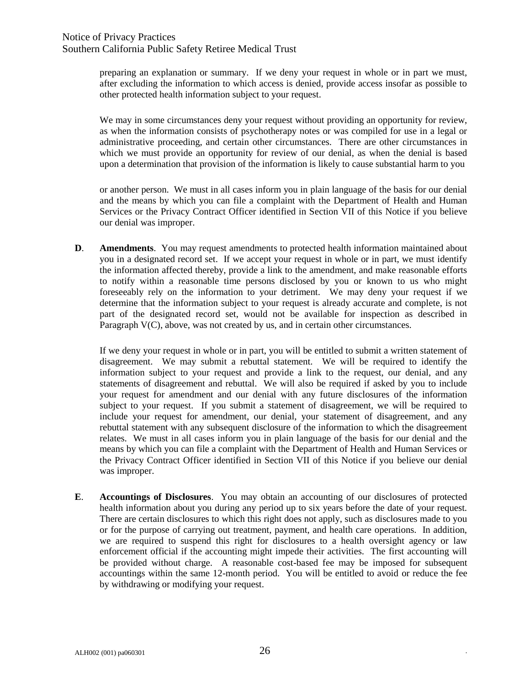preparing an explanation or summary. If we deny your request in whole or in part we must, after excluding the information to which access is denied, provide access insofar as possible to other protected health information subject to your request.

We may in some circumstances deny your request without providing an opportunity for review, as when the information consists of psychotherapy notes or was compiled for use in a legal or administrative proceeding, and certain other circumstances. There are other circumstances in which we must provide an opportunity for review of our denial, as when the denial is based upon a determination that provision of the information is likely to cause substantial harm to you

or another person. We must in all cases inform you in plain language of the basis for our denial and the means by which you can file a complaint with the Department of Health and Human Services or the Privacy Contract Officer identified in Section VII of this Notice if you believe our denial was improper.

**D**. **Amendments**. You may request amendments to protected health information maintained about you in a designated record set. If we accept your request in whole or in part, we must identify the information affected thereby, provide a link to the amendment, and make reasonable efforts to notify within a reasonable time persons disclosed by you or known to us who might foreseeably rely on the information to your detriment. We may deny your request if we determine that the information subject to your request is already accurate and complete, is not part of the designated record set, would not be available for inspection as described in Paragraph V(C), above, was not created by us, and in certain other circumstances.

If we deny your request in whole or in part, you will be entitled to submit a written statement of disagreement. We may submit a rebuttal statement. We will be required to identify the information subject to your request and provide a link to the request, our denial, and any statements of disagreement and rebuttal. We will also be required if asked by you to include your request for amendment and our denial with any future disclosures of the information subject to your request. If you submit a statement of disagreement, we will be required to include your request for amendment, our denial, your statement of disagreement, and any rebuttal statement with any subsequent disclosure of the information to which the disagreement relates. We must in all cases inform you in plain language of the basis for our denial and the means by which you can file a complaint with the Department of Health and Human Services or the Privacy Contract Officer identified in Section VII of this Notice if you believe our denial was improper.

**E**. **Accountings of Disclosures**. You may obtain an accounting of our disclosures of protected health information about you during any period up to six years before the date of your request. There are certain disclosures to which this right does not apply, such as disclosures made to you or for the purpose of carrying out treatment, payment, and health care operations. In addition, we are required to suspend this right for disclosures to a health oversight agency or law enforcement official if the accounting might impede their activities. The first accounting will be provided without charge. A reasonable cost-based fee may be imposed for subsequent accountings within the same 12-month period. You will be entitled to avoid or reduce the fee by withdrawing or modifying your request.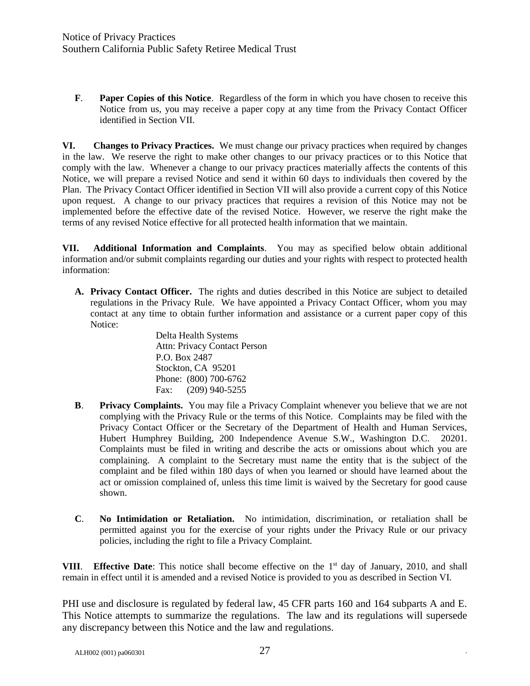**F***.* **Paper Copies of this Notice**.Regardless of the form in which you have chosen to receive this Notice from us, you may receive a paper copy at any time from the Privacy Contact Officer identified in Section VII.

**VI. Changes to Privacy Practices.** We must change our privacy practices when required by changes in the law. We reserve the right to make other changes to our privacy practices or to this Notice that comply with the law. Whenever a change to our privacy practices materially affects the contents of this Notice, we will prepare a revised Notice and send it within 60 days to individuals then covered by the Plan. The Privacy Contact Officer identified in Section VII will also provide a current copy of this Notice upon request. A change to our privacy practices that requires a revision of this Notice may not be implemented before the effective date of the revised Notice. However, we reserve the right make the terms of any revised Notice effective for all protected health information that we maintain.

**VII. Additional Information and Complaints**. You may as specified below obtain additional information and/or submit complaints regarding our duties and your rights with respect to protected health information:

**A. Privacy Contact Officer.** The rights and duties described in this Notice are subject to detailed regulations in the Privacy Rule. We have appointed a Privacy Contact Officer, whom you may contact at any time to obtain further information and assistance or a current paper copy of this Notice:

> Delta Health Systems Attn: Privacy Contact Person P.O. Box 2487 Stockton, CA 95201 Phone: (800) 700-6762 Fax: (209) 940-5255

- **B**. **Privacy Complaints.** You may file a Privacy Complaint whenever you believe that we are not complying with the Privacy Rule or the terms of this Notice. Complaints may be filed with the Privacy Contact Officer or the Secretary of the Department of Health and Human Services, Hubert Humphrey Building, 200 Independence Avenue S.W., Washington D.C. 20201. Complaints must be filed in writing and describe the acts or omissions about which you are complaining. A complaint to the Secretary must name the entity that is the subject of the complaint and be filed within 180 days of when you learned or should have learned about the act or omission complained of, unless this time limit is waived by the Secretary for good cause shown.
- **C**. **No Intimidation or Retaliation.** No intimidation, discrimination, or retaliation shall be permitted against you for the exercise of your rights under the Privacy Rule or our privacy policies, including the right to file a Privacy Complaint.

**VIII.** Effective Date: This notice shall become effective on the 1<sup>st</sup> day of January, 2010, and shall remain in effect until it is amended and a revised Notice is provided to you as described in Section VI.

PHI use and disclosure is regulated by federal law, 45 CFR parts 160 and 164 subparts A and E. This Notice attempts to summarize the regulations. The law and its regulations will supersede any discrepancy between this Notice and the law and regulations.